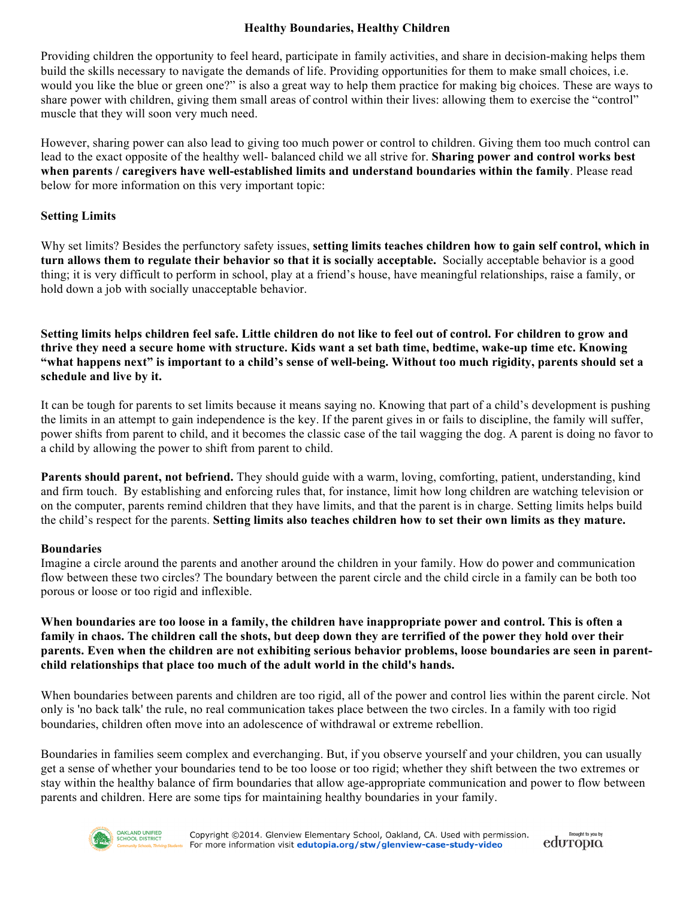### **Healthy Boundaries, Healthy Children**

Providing children the opportunity to feel heard, participate in family activities, and share in decision-making helps them build the skills necessary to navigate the demands of life. Providing opportunities for them to make small choices, i.e. would you like the blue or green one?" is also a great way to help them practice for making big choices. These are ways to share power with children, giving them small areas of control within their lives: allowing them to exercise the "control" muscle that they will soon very much need.

However, sharing power can also lead to giving too much power or control to children. Giving them too much control can lead to the exact opposite of the healthy well- balanced child we all strive for. **Sharing power and control works best when parents / caregivers have well-established limits and understand boundaries within the family**. Please read below for more information on this very important topic:

### **Setting Limits**

Why set limits? Besides the perfunctory safety issues, **setting limits teaches children how to gain self control, which in turn allows them to regulate their behavior so that it is socially acceptable.** Socially acceptable behavior is a good thing; it is very difficult to perform in school, play at a friend's house, have meaningful relationships, raise a family, or hold down a job with socially unacceptable behavior.

**Setting limits helps children feel safe. Little children do not like to feel out of control. For children to grow and thrive they need a secure home with structure. Kids want a set bath time, bedtime, wake-up time etc. Knowing "what happens next" is important to a child's sense of well-being. Without too much rigidity, parents should set a schedule and live by it.** 

It can be tough for parents to set limits because it means saying no. Knowing that part of a child's development is pushing the limits in an attempt to gain independence is the key. If the parent gives in or fails to discipline, the family will suffer, power shifts from parent to child, and it becomes the classic case of the tail wagging the dog. A parent is doing no favor to a child by allowing the power to shift from parent to child.

**Parents should parent, not befriend.** They should guide with a warm, loving, comforting, patient, understanding, kind and firm touch. By establishing and enforcing rules that, for instance, limit how long children are watching television or on the computer, parents remind children that they have limits, and that the parent is in charge. Setting limits helps build the child's respect for the parents. **Setting limits also teaches children how to set their own limits as they mature.**

#### **Boundaries**

Imagine a circle around the parents and another around the children in your family. How do power and communication flow between these two circles? The boundary between the parent circle and the child circle in a family can be both too porous or loose or too rigid and inflexible.

**When boundaries are too loose in a family, the children have inappropriate power and control. This is often a family in chaos. The children call the shots, but deep down they are terrified of the power they hold over their parents. Even when the children are not exhibiting serious behavior problems, loose boundaries are seen in parentchild relationships that place too much of the adult world in the child's hands.** 

When boundaries between parents and children are too rigid, all of the power and control lies within the parent circle. Not only is 'no back talk' the rule, no real communication takes place between the two circles. In a family with too rigid boundaries, children often move into an adolescence of withdrawal or extreme rebellion.

Boundaries in families seem complex and everchanging. But, if you observe yourself and your children, you can usually get a sense of whether your boundaries tend to be too loose or too rigid; whether they shift between the two extremes or stay within the healthy balance of firm boundaries that allow age-appropriate communication and power to flow between parents and children. Here are some tips for maintaining healthy boundaries in your family.



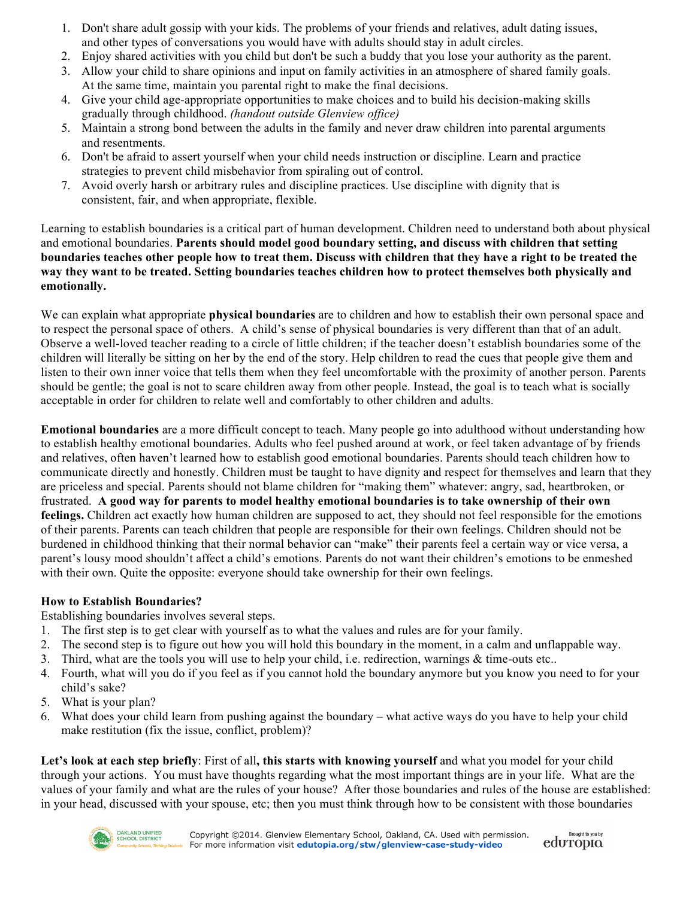- 1. Don't share adult gossip with your kids. The problems of your friends and relatives, adult dating issues, and other types of conversations you would have with adults should stay in adult circles.
- 2. Enjoy shared activities with you child but don't be such a buddy that you lose your authority as the parent.
- 3. Allow your child to share opinions and input on family activities in an atmosphere of shared family goals. At the same time, maintain you parental right to make the final decisions.
- 4. Give your child age-appropriate opportunities to make choices and to build his decision-making skills gradually through childhood. *(handout outside Glenview office)*
- 5. Maintain a strong bond between the adults in the family and never draw children into parental arguments and resentments.
- 6. Don't be afraid to assert yourself when your child needs instruction or discipline. Learn and practice strategies to prevent child misbehavior from spiraling out of control.
- 7. Avoid overly harsh or arbitrary rules and discipline practices. Use discipline with dignity that is consistent, fair, and when appropriate, flexible.

Learning to establish boundaries is a critical part of human development. Children need to understand both about physical and emotional boundaries. **Parents should model good boundary setting, and discuss with children that setting boundaries teaches other people how to treat them. Discuss with children that they have a right to be treated the way they want to be treated. Setting boundaries teaches children how to protect themselves both physically and emotionally.**

We can explain what appropriate **physical boundaries** are to children and how to establish their own personal space and to respect the personal space of others. A child's sense of physical boundaries is very different than that of an adult. Observe a well-loved teacher reading to a circle of little children; if the teacher doesn't establish boundaries some of the children will literally be sitting on her by the end of the story. Help children to read the cues that people give them and listen to their own inner voice that tells them when they feel uncomfortable with the proximity of another person. Parents should be gentle; the goal is not to scare children away from other people. Instead, the goal is to teach what is socially acceptable in order for children to relate well and comfortably to other children and adults.

**Emotional boundaries** are a more difficult concept to teach. Many people go into adulthood without understanding how to establish healthy emotional boundaries. Adults who feel pushed around at work, or feel taken advantage of by friends and relatives, often haven't learned how to establish good emotional boundaries. Parents should teach children how to communicate directly and honestly. Children must be taught to have dignity and respect for themselves and learn that they are priceless and special. Parents should not blame children for "making them" whatever: angry, sad, heartbroken, or frustrated. **A good way for parents to model healthy emotional boundaries is to take ownership of their own feelings.** Children act exactly how human children are supposed to act, they should not feel responsible for the emotions of their parents. Parents can teach children that people are responsible for their own feelings. Children should not be burdened in childhood thinking that their normal behavior can "make" their parents feel a certain way or vice versa, a parent's lousy mood shouldn't affect a child's emotions. Parents do not want their children's emotions to be enmeshed with their own. Quite the opposite: everyone should take ownership for their own feelings.

# **How to Establish Boundaries?**

Establishing boundaries involves several steps.

- 1. The first step is to get clear with yourself as to what the values and rules are for your family.
- 2. The second step is to figure out how you will hold this boundary in the moment, in a calm and unflappable way.
- 3. Third, what are the tools you will use to help your child, i.e. redirection, warnings & time-outs etc..
- 4. Fourth, what will you do if you feel as if you cannot hold the boundary anymore but you know you need to for your child's sake?
- 5. What is your plan?
- 6. What does your child learn from pushing against the boundary what active ways do you have to help your child make restitution (fix the issue, conflict, problem)?

**Let's look at each step briefly**: First of all**, this starts with knowing yourself** and what you model for your child through your actions. You must have thoughts regarding what the most important things are in your life. What are the values of your family and what are the rules of your house? After those boundaries and rules of the house are established: in your head, discussed with your spouse, etc; then you must think through how to be consistent with those boundaries